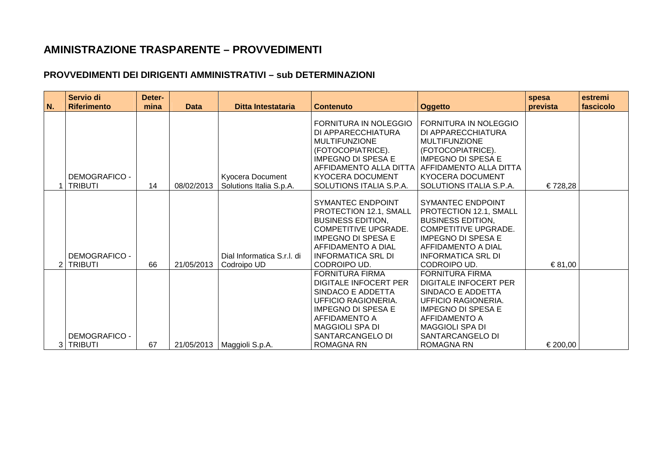## **AMINISTRAZIONE TRASPARENTE – PROVVEDIMENTI**

## **PROVVEDIMENTI DEI DIRIGENTI AMMINISTRATIVI – sub DETERMINAZIONI**

| N. | Servio di<br><b>Riferimento</b>        | Deter-<br>mina | <b>Data</b> | Ditta Intestataria                          | <b>Contenuto</b>                                                                                                                                                                                             | <b>Oggetto</b>                                                                                                                                                                                                | spesa<br>prevista | estremi<br>fascicolo |
|----|----------------------------------------|----------------|-------------|---------------------------------------------|--------------------------------------------------------------------------------------------------------------------------------------------------------------------------------------------------------------|---------------------------------------------------------------------------------------------------------------------------------------------------------------------------------------------------------------|-------------------|----------------------|
|    | <b>DEMOGRAFICO -</b><br><b>TRIBUTI</b> | 14             | 08/02/2013  | Kyocera Document<br>Solutions Italia S.p.A. | FORNITURA IN NOLEGGIO<br>DI APPARECCHIATURA<br><b>MULTIFUNZIONE</b><br>(FOTOCOPIATRICE).<br><b>IMPEGNO DI SPESA E</b><br>AFFIDAMENTO ALLA DITTA<br>KYOCERA DOCUMENT<br>SOLUTIONS ITALIA S.P.A.               | FORNITURA IN NOLEGGIO<br>DI APPARECCHIATURA<br><b>MULTIFUNZIONE</b><br>(FOTOCOPIATRICE).<br><b>IMPEGNO DI SPESA E</b><br>  AFFIDAMENTO ALLA DITTA<br>KYOCERA DOCUMENT<br>SOLUTIONS ITALIA S.P.A.              | € 728,28          |                      |
|    | <b>DEMOGRAFICO -</b><br>2 TRIBUTI      | 66             | 21/05/2013  | Dial Informatica S.r.I. di<br>Codroipo UD   | SYMANTEC ENDPOINT<br>PROTECTION 12.1, SMALL<br><b>BUSINESS EDITION,</b><br><b>COMPETITIVE UPGRADE.</b><br><b>IMPEGNO DI SPESA E</b><br>AFFIDAMENTO A DIAL<br><b>INFORMATICA SRL DI</b><br>CODROIPO UD.       | <b>SYMANTEC ENDPOINT</b><br>PROTECTION 12.1, SMALL<br><b>BUSINESS EDITION.</b><br><b>COMPETITIVE UPGRADE.</b><br><b>IMPEGNO DI SPESA E</b><br>AFFIDAMENTO A DIAL<br><b>INFORMATICA SRL DI</b><br>CODROIPO UD. | € 81,00           |                      |
|    | <b>DEMOGRAFICO -</b><br>3 TRIBUTI      | 67             |             | 21/05/2013   Maggioli S.p.A.                | <b>FORNITURA FIRMA</b><br>DIGITALE INFOCERT PER<br>SINDACO E ADDETTA<br><b>UFFICIO RAGIONERIA.</b><br><b>IMPEGNO DI SPESA E</b><br>AFFIDAMENTO A<br>MAGGIOLI SPA DI<br>SANTARCANGELO DI<br><b>ROMAGNA RN</b> | <b>FORNITURA FIRMA</b><br>DIGITALE INFOCERT PER<br>SINDACO E ADDETTA<br>UFFICIO RAGIONERIA.<br><b>IMPEGNO DI SPESA E</b><br>AFFIDAMENTO A<br><b>MAGGIOLI SPA DI</b><br>SANTARCANGELO DI<br><b>ROMAGNA RN</b>  | € 200,00          |                      |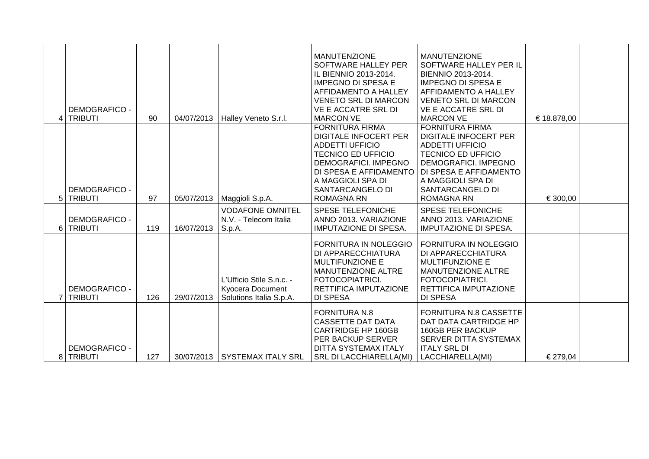| <b>DEMOGRAFICO -</b><br>4 TRIBUTI | 90  | 04/07/2013 | Halley Veneto S.r.l.                                                           | <b>MANUTENZIONE</b><br>SOFTWARE HALLEY PER<br>IL BIENNIO 2013-2014.<br><b>IMPEGNO DI SPESA E</b><br>AFFIDAMENTO A HALLEY<br><b>VENETO SRL DI MARCON</b><br>VE E ACCATRE SRL DI<br><b>MARCON VE</b>                            | <b>MANUTENZIONE</b><br>SOFTWARE HALLEY PER IL<br>BIENNIO 2013-2014.<br><b>IMPEGNO DI SPESA E</b><br>AFFIDAMENTO A HALLEY<br><b>VENETO SRL DI MARCON</b><br>VE E ACCATRE SRL DI<br><b>MARCON VE</b>                            | € 18.878,00 |  |
|-----------------------------------|-----|------------|--------------------------------------------------------------------------------|-------------------------------------------------------------------------------------------------------------------------------------------------------------------------------------------------------------------------------|-------------------------------------------------------------------------------------------------------------------------------------------------------------------------------------------------------------------------------|-------------|--|
| <b>DEMOGRAFICO -</b><br>5 TRIBUTI | 97  | 05/07/2013 | Maggioli S.p.A.                                                                | <b>FORNITURA FIRMA</b><br><b>DIGITALE INFOCERT PER</b><br><b>ADDETTI UFFICIO</b><br><b>TECNICO ED UFFICIO</b><br>DEMOGRAFICI. IMPEGNO<br>DI SPESA E AFFIDAMENTO<br>A MAGGIOLI SPA DI<br>SANTARCANGELO DI<br><b>ROMAGNA RN</b> | <b>FORNITURA FIRMA</b><br><b>DIGITALE INFOCERT PER</b><br><b>ADDETTI UFFICIO</b><br><b>TECNICO ED UFFICIO</b><br>DEMOGRAFICI. IMPEGNO<br>DI SPESA E AFFIDAMENTO<br>A MAGGIOLI SPA DI<br>SANTARCANGELO DI<br><b>ROMAGNA RN</b> | € 300,00    |  |
| <b>DEMOGRAFICO -</b><br>6 TRIBUTI | 119 | 16/07/2013 | <b>VODAFONE OMNITEL</b><br>N.V. - Telecom Italia<br>S.p.A.                     | <b>SPESE TELEFONICHE</b><br>ANNO 2013, VARIAZIONE<br><b>IMPUTAZIONE DI SPESA.</b>                                                                                                                                             | <b>SPESE TELEFONICHE</b><br>ANNO 2013, VARIAZIONE<br><b>IMPUTAZIONE DI SPESA.</b>                                                                                                                                             |             |  |
| <b>DEMOGRAFICO -</b><br>7 TRIBUTI | 126 | 29/07/2013 | L'Ufficio Stile S.n.c. -<br><b>Kyocera Document</b><br>Solutions Italia S.p.A. | <b>FORNITURA IN NOLEGGIO</b><br>DI APPARECCHIATURA<br><b>MULTIFUNZIONE E</b><br>MANUTENZIONE ALTRE<br>FOTOCOPIATRICI.<br>RETTIFICA IMPUTAZIONE<br><b>DI SPESA</b>                                                             | <b>FORNITURA IN NOLEGGIO</b><br>DI APPARECCHIATURA<br><b>MULTIFUNZIONE E</b><br>MANUTENZIONE ALTRE<br>FOTOCOPIATRICI.<br>RETTIFICA IMPUTAZIONE<br><b>DI SPESA</b>                                                             |             |  |
| <b>DEMOGRAFICO -</b><br>8 TRIBUTI | 127 |            | 30/07/2013 SYSTEMAX ITALY SRL                                                  | <b>FORNITURA N.8</b><br><b>CASSETTE DAT DATA</b><br><b>CARTRIDGE HP 160GB</b><br>PER BACKUP SERVER<br>DITTA SYSTEMAX ITALY<br><b>SRL DI LACCHIARELLA(MI)</b>                                                                  | <b>FORNITURA N.8 CASSETTE</b><br>DAT DATA CARTRIDGE HP<br>160GB PER BACKUP<br>SERVER DITTA SYSTEMAX<br><b>ITALY SRL DI</b><br>LACCHIARELLA(MI)                                                                                | € 279,04    |  |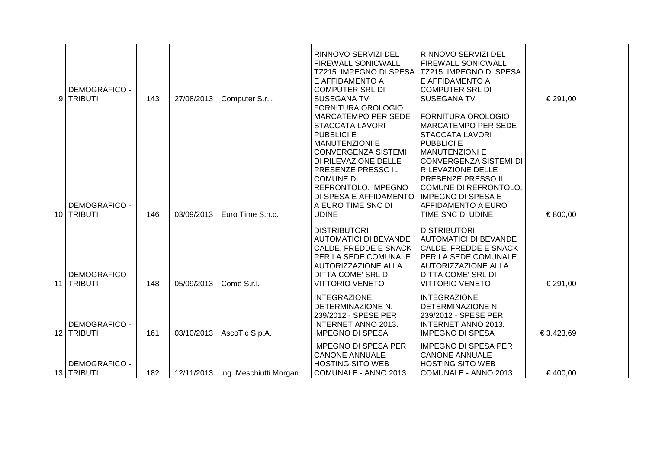| DEMOGRAFICO -<br>9 TRIBUTI           | 143 | 27/08/2013 | Computer S.r.l.                     | RINNOVO SERVIZI DEL<br>FIREWALL SONICWALL<br>TZ215. IMPEGNO DI SPESA<br>E AFFIDAMENTO A<br><b>COMPUTER SRL DI</b><br><b>SUSEGANA TV</b>                                                                                                                                                                         | RINNOVO SERVIZI DEL<br><b>FIREWALL SONICWALL</b><br>TZ215. IMPEGNO DI SPESA<br>E AFFIDAMENTO A<br><b>COMPUTER SRL DI</b><br><b>SUSEGANA TV</b>                                                                                                                                                        | € 291,00   |  |
|--------------------------------------|-----|------------|-------------------------------------|-----------------------------------------------------------------------------------------------------------------------------------------------------------------------------------------------------------------------------------------------------------------------------------------------------------------|-------------------------------------------------------------------------------------------------------------------------------------------------------------------------------------------------------------------------------------------------------------------------------------------------------|------------|--|
| <b>DEMOGRAFICO -</b><br>10 TRIBUTI   | 146 | 03/09/2013 | Euro Time S.n.c.                    | FORNITURA OROLOGIO<br><b>MARCATEMPO PER SEDE</b><br><b>STACCATA LAVORI</b><br><b>PUBBLICI E</b><br><b>MANUTENZIONI E</b><br><b>CONVERGENZA SISTEMI</b><br>DI RILEVAZIONE DELLE<br>PRESENZE PRESSO IL<br><b>COMUNE DI</b><br>REFRONTOLO. IMPEGNO<br>DI SPESA E AFFIDAMENTO<br>A EURO TIME SNC DI<br><b>UDINE</b> | FORNITURA OROLOGIO<br><b>MARCATEMPO PER SEDE</b><br><b>STACCATA LAVORI</b><br><b>PUBBLICI E</b><br><b>MANUTENZIONI E</b><br><b>CONVERGENZA SISTEMI DI</b><br>RILEVAZIONE DELLE<br>PRESENZE PRESSO IL<br>COMUNE DI REFRONTOLO.<br><b>IMPEGNO DI SPESA E</b><br>AFFIDAMENTO A EURO<br>TIME SNC DI UDINE | € 800,00   |  |
| <b>DEMOGRAFICO -</b><br>11 TRIBUTI   | 148 | 05/09/2013 | Comè S.r.l.                         | <b>DISTRIBUTORI</b><br><b>AUTOMATICI DI BEVANDE</b><br>CALDE, FREDDE E SNACK<br>PER LA SEDE COMUNALE.<br><b>AUTORIZZAZIONE ALLA</b><br><b>DITTA COME' SRL DI</b><br><b>VITTORIO VENETO</b>                                                                                                                      | <b>DISTRIBUTORI</b><br><b>AUTOMATICI DI BEVANDE</b><br>CALDE, FREDDE E SNACK<br>PER LA SEDE COMUNALE.<br>AUTORIZZAZIONE ALLA<br><b>DITTA COME' SRL DI</b><br><b>VITTORIO VENETO</b>                                                                                                                   | € 291,00   |  |
| <b>DEMOGRAFICO -</b><br>12 TRIBUTI   | 161 |            | 03/10/2013   AscoTlc S.p.A.         | <b>INTEGRAZIONE</b><br>DETERMINAZIONE N.<br>239/2012 - SPESE PER<br>INTERNET ANNO 2013.<br><b>IMPEGNO DI SPESA</b>                                                                                                                                                                                              | <b>INTEGRAZIONE</b><br>DETERMINAZIONE N.<br>239/2012 - SPESE PER<br><b>INTERNET ANNO 2013.</b><br><b>IMPEGNO DI SPESA</b>                                                                                                                                                                             | € 3.423,69 |  |
| <b>DEMOGRAFICO -</b><br>13   TRIBUTI | 182 |            | 12/11/2013   ing. Meschiutti Morgan | <b>IMPEGNO DI SPESA PER</b><br><b>CANONE ANNUALE</b><br><b>HOSTING SITO WEB</b><br>COMUNALE - ANNO 2013                                                                                                                                                                                                         | <b>IMPEGNO DI SPESA PER</b><br><b>CANONE ANNUALE</b><br><b>HOSTING SITO WEB</b><br>COMUNALE - ANNO 2013                                                                                                                                                                                               | €400,00    |  |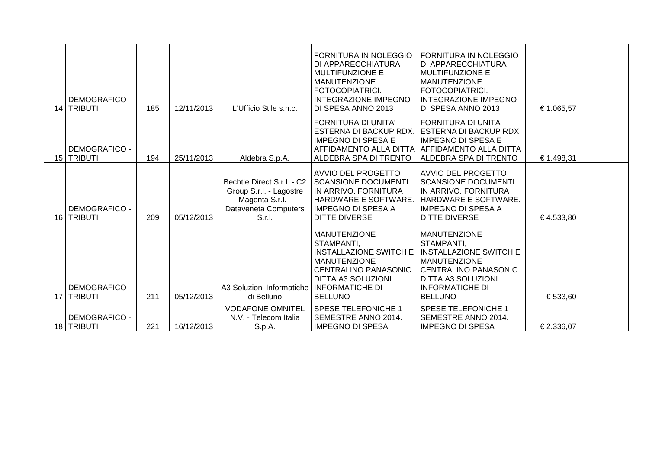| <b>DEMOGRAFICO -</b><br>14   TRIBUTI | 185 | 12/11/2013 | L'Ufficio Stile s.n.c.                                                                                      | <b>FORNITURA IN NOLEGGIO</b><br>DI APPARECCHIATURA<br><b>MULTIFUNZIONE E</b><br><b>MANUTENZIONE</b><br>FOTOCOPIATRICI.<br><b>INTEGRAZIONE IMPEGNO</b><br>DI SPESA ANNO 2013                       | <b>FORNITURA IN NOLEGGIO</b><br>DI APPARECCHIATURA<br><b>MULTIFUNZIONE E</b><br><b>MANUTENZIONE</b><br>FOTOCOPIATRICI.<br><b>INTEGRAZIONE IMPEGNO</b><br>DI SPESA ANNO 2013                       | € 1.065,57 |  |
|--------------------------------------|-----|------------|-------------------------------------------------------------------------------------------------------------|---------------------------------------------------------------------------------------------------------------------------------------------------------------------------------------------------|---------------------------------------------------------------------------------------------------------------------------------------------------------------------------------------------------|------------|--|
| <b>DEMOGRAFICO -</b><br>15 TRIBUTI   | 194 | 25/11/2013 | Aldebra S.p.A.                                                                                              | <b>FORNITURA DI UNITA'</b><br>ESTERNA DI BACKUP RDX.<br><b>IMPEGNO DI SPESA E</b><br>ALDEBRA SPA DI TRENTO                                                                                        | <b>FORNITURA DI UNITA'</b><br>l ESTERNA DI BACKUP RDX.<br><b>IMPEGNO DI SPESA E</b><br>AFFIDAMENTO ALLA DITTA   AFFIDAMENTO ALLA DITTA<br>ALDEBRA SPA DI TRENTO                                   | € 1.498,31 |  |
| <b>DEMOGRAFICO -</b><br>16   TRIBUTI | 209 | 05/12/2013 | Bechtle Direct S.r.l. - C2<br>Group S.r.l. - Lagostre<br>Magenta S.r.l. -<br>Dataveneta Computers<br>S.r.l. | AVVIO DEL PROGETTO<br><b>SCANSIONE DOCUMENTI</b><br>IN ARRIVO. FORNITURA<br>HARDWARE E SOFTWARE<br><b>IMPEGNO DI SPESA A</b><br>DITTE DIVERSE                                                     | AVVIO DEL PROGETTO<br><b>SCANSIONE DOCUMENTI</b><br>IN ARRIVO. FORNITURA<br>HARDWARE E SOFTWARE.<br><b>IMPEGNO DI SPESA A</b><br><b>DITTE DIVERSE</b>                                             | €4.533,80  |  |
| <b>DEMOGRAFICO -</b><br>17   TRIBUTI | 211 | 05/12/2013 | A3 Soluzioni Informatiche<br>di Belluno                                                                     | <b>MANUTENZIONE</b><br>STAMPANTI,<br><b>INSTALLAZIONE SWITCH E</b><br><b>MANUTENZIONE</b><br><b>CENTRALINO PANASONIC</b><br><b>DITTA A3 SOLUZIONI</b><br><b>INFORMATICHE DI</b><br><b>BELLUNO</b> | <b>MANUTENZIONE</b><br>STAMPANTI,<br><b>INSTALLAZIONE SWITCH E</b><br><b>MANUTENZIONE</b><br><b>CENTRALINO PANASONIC</b><br><b>DITTA A3 SOLUZIONI</b><br><b>INFORMATICHE DI</b><br><b>BELLUNO</b> | € 533,60   |  |
| <b>DEMOGRAFICO -</b><br>18   TRIBUTI | 221 | 16/12/2013 | <b>VODAFONE OMNITEL</b><br>N.V. - Telecom Italia<br>S.p.A.                                                  | <b>SPESE TELEFONICHE 1</b><br>SEMESTRE ANNO 2014.<br><b>IMPEGNO DI SPESA</b>                                                                                                                      | <b>SPESE TELEFONICHE 1</b><br>SEMESTRE ANNO 2014.<br><b>IMPEGNO DI SPESA</b>                                                                                                                      | € 2.336,07 |  |